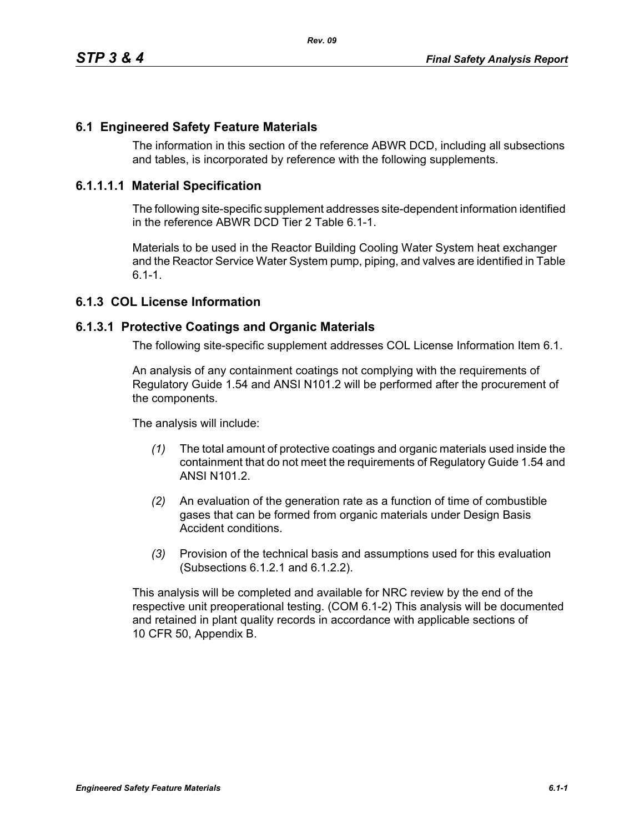### **6.1 Engineered Safety Feature Materials**

The information in this section of the reference ABWR DCD, including all subsections and tables, is incorporated by reference with the following supplements.

#### **6.1.1.1.1 Material Specification**

The following site-specific supplement addresses site-dependent information identified in the reference ABWR DCD Tier 2 Table 6.1-1.

Materials to be used in the Reactor Building Cooling Water System heat exchanger and the Reactor Service Water System pump, piping, and valves are identified in Table  $6.1 - 1.$ 

# **6.1.3 COL License Information**

#### **6.1.3.1 Protective Coatings and Organic Materials**

The following site-specific supplement addresses COL License Information Item 6.1.

An analysis of any containment coatings not complying with the requirements of Regulatory Guide 1.54 and ANSI N101.2 will be performed after the procurement of the components.

The analysis will include:

- *(1)* The total amount of protective coatings and organic materials used inside the containment that do not meet the requirements of Regulatory Guide 1.54 and ANSI N101.2.
- *(2)* An evaluation of the generation rate as a function of time of combustible gases that can be formed from organic materials under Design Basis Accident conditions.
- *(3)* Provision of the technical basis and assumptions used for this evaluation (Subsections 6.1.2.1 and 6.1.2.2).

This analysis will be completed and available for NRC review by the end of the respective unit preoperational testing. (COM 6.1-2) This analysis will be documented and retained in plant quality records in accordance with applicable sections of 10 CFR 50, Appendix B.